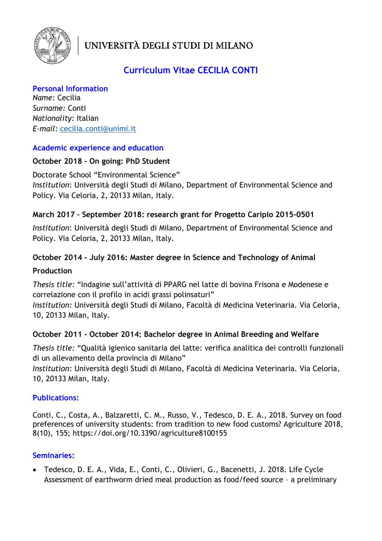

UNIVERSITÀ DEGLI STUDI DI MILANO

# Curriculum Vitae CECILIA CONTI

Personal Information Name: Cecilia Surname: Conti Nationality: Italian E-mail: cecilia.conti@unimi.it

#### Academic experience and education

#### October 2018 – On going: PhD Student

Doctorate School "Environmental Science" Institution: Università degli Studi di Milano, Department of Environmental Science and Policy. Via Celoria, 2, 20133 Milan, Italy.

# March 2017 – September 2018: research grant for Progetto Cariplo 2015-0501

Institution: Università degli Studi di Milano, Department of Environmental Science and Policy. Via Celoria, 2, 20133 Milan, Italy.

# October 2014 - July 2016: Master degree in Science and Technology of Animal

#### Production

Thesis title: "Indagine sull'attività di PPARG nel latte di bovina Frisona e Modenese e correlazione con il profilo in acidi grassi polinsaturi"

Institution: Università degli Studi di Milano, Facoltà di Medicina Veterinaria. Via Celoria, 10, 20133 Milan, Italy.

# October 2011 - October 2014: Bachelor degree in Animal Breeding and Welfare

Thesis title: "Qualità igienico sanitaria del latte: verifica analitica dei controlli funzionali di un allevamento della provincia di Milano"

Institution: Università degli Studi di Milano, Facoltà di Medicina Veterinaria. Via Celoria, 10, 20133 Milan, Italy.

# Publications:

Conti, C., Costa, A., Balzaretti, C. M., Russo, V., Tedesco, D. E. A., 2018. Survey on food preferences of university students: from tradition to new food customs? Agriculture 2018, 8(10), 155; https://doi.org/10.3390/agriculture8100155

# Seminaries:

 Tedesco, D. E. A., Vida, E., Conti, C., Olivieri, G., Bacenetti, J. 2018. Life Cycle Assessment of earthworm dried meal production as food/feed source – a preliminary